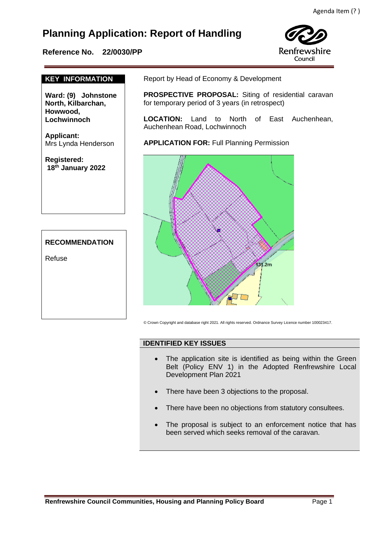# **Planning Application: Report of Handling**

### **Reference No. 22/0030/PP**



## **KEY INFORMATION**

**Ward: (9) Johnstone North, Kilbarchan, Howwood, Lochwinnoch**

**Applicant:** Mrs Lynda Henderson

**Registered: 18th January 2022**

#### **RECOMMENDATION**

Refuse

Report by Head of Economy & Development

 **PROSPECTIVE PROPOSAL:** Siting of residential caravan for temporary period of 3 years (in retrospect)

**LOCATION:** Land to North of East Auchenhean, Auchenhean Road, Lochwinnoch

**APPLICATION FOR:** Full Planning Permission



© Crown Copyright and database right 2021. All rights reserved. Ordnance Survey Licence number 100023417.

#### **IDENTIFIED KEY ISSUES**

- The application site is identified as being within the Green Belt (Policy ENV 1) in the Adopted Renfrewshire Local Development Plan 2021
- There have been 3 objections to the proposal.
- There have been no objections from statutory consultees.
- The proposal is subject to an enforcement notice that has been served which seeks removal of the caravan.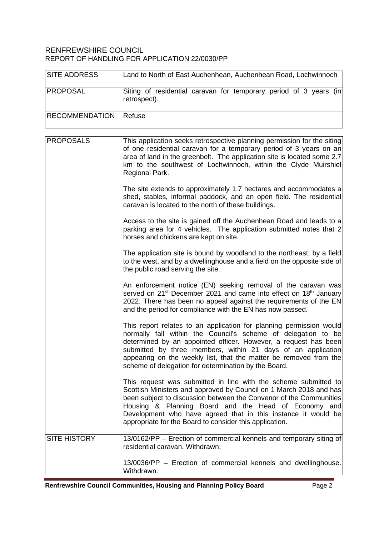### RENFREWSHIRE COUNCIL REPORT OF HANDLING FOR APPLICATION 22/0030/PP

| <b>SITE ADDRESS</b>   | Land to North of East Auchenhean, Auchenhean Road, Lochwinnoch                                                                                                                                                                                                                                                                                                                                       |
|-----------------------|------------------------------------------------------------------------------------------------------------------------------------------------------------------------------------------------------------------------------------------------------------------------------------------------------------------------------------------------------------------------------------------------------|
| <b>PROPOSAL</b>       | Siting of residential caravan for temporary period of 3 years (in<br>retrospect).                                                                                                                                                                                                                                                                                                                    |
| <b>RECOMMENDATION</b> | Refuse                                                                                                                                                                                                                                                                                                                                                                                               |
| <b>PROPOSALS</b>      | This application seeks retrospective planning permission for the siting<br>of one residential caravan for a temporary period of 3 years on an<br>area of land in the greenbelt. The application site is located some 2.7<br>km to the southwest of Lochwinnoch, within the Clyde Muirshiel<br>Regional Park.                                                                                         |
|                       | The site extends to approximately 1.7 hectares and accommodates a<br>shed, stables, informal paddock, and an open field. The residential<br>caravan is located to the north of these buildings.                                                                                                                                                                                                      |
|                       | Access to the site is gained off the Auchenhean Road and leads to a<br>parking area for 4 vehicles. The application submitted notes that 2<br>horses and chickens are kept on site.                                                                                                                                                                                                                  |
|                       | The application site is bound by woodland to the northeast, by a field<br>to the west, and by a dwellinghouse and a field on the opposite side of<br>the public road serving the site.                                                                                                                                                                                                               |
|                       | An enforcement notice (EN) seeking removal of the caravan was<br>served on 21 <sup>st</sup> December 2021 and came into effect on 18 <sup>th</sup> January<br>2022. There has been no appeal against the requirements of the EN<br>and the period for compliance with the EN has now passed.                                                                                                         |
|                       | This report relates to an application for planning permission would<br>normally fall within the Council's scheme of delegation to be<br>determined by an appointed officer. However, a request has been<br>submitted by three members, within 21 days of an application<br>appearing on the weekly list, that the matter be removed from the<br>scheme of delegation for determination by the Board. |
|                       | This request was submitted in line with the scheme submitted to<br>Scottish Ministers and approved by Council on 1 March 2018 and has<br>been subject to discussion between the Convenor of the Communities<br>Housing & Planning Board and the Head of Economy and<br>Development who have agreed that in this instance it would be<br>appropriate for the Board to consider this application.      |
| <b>SITE HISTORY</b>   | 13/0162/PP – Erection of commercial kennels and temporary siting of<br>residential caravan. Withdrawn.                                                                                                                                                                                                                                                                                               |
|                       | 13/0036/PP – Erection of commercial kennels and dwellinghouse.<br>Withdrawn.                                                                                                                                                                                                                                                                                                                         |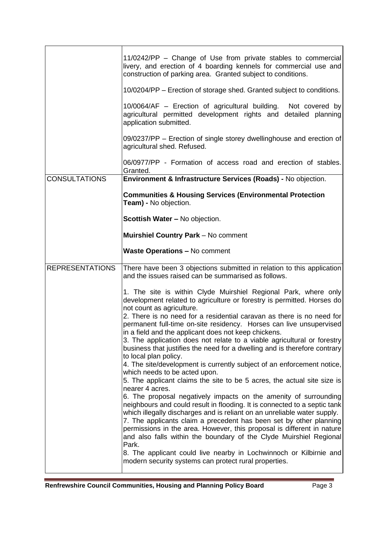|                        | 11/0242/PP – Change of Use from private stables to commercial<br>livery, and erection of 4 boarding kennels for commercial use and<br>construction of parking area. Granted subject to conditions.                                                                                                                                                                                                                                                       |
|------------------------|----------------------------------------------------------------------------------------------------------------------------------------------------------------------------------------------------------------------------------------------------------------------------------------------------------------------------------------------------------------------------------------------------------------------------------------------------------|
|                        | 10/0204/PP – Erection of storage shed. Granted subject to conditions.                                                                                                                                                                                                                                                                                                                                                                                    |
|                        | 10/0064/AF - Erection of agricultural building. Not covered by<br>agricultural permitted development rights and detailed planning<br>application submitted.                                                                                                                                                                                                                                                                                              |
|                        | 09/0237/PP – Erection of single storey dwellinghouse and erection of<br>agricultural shed. Refused.                                                                                                                                                                                                                                                                                                                                                      |
|                        | 06/0977/PP - Formation of access road and erection of stables.<br>Granted.                                                                                                                                                                                                                                                                                                                                                                               |
| <b>CONSULTATIONS</b>   | Environment & Infrastructure Services (Roads) - No objection.                                                                                                                                                                                                                                                                                                                                                                                            |
|                        | <b>Communities &amp; Housing Services (Environmental Protection</b><br>Team) - No objection.                                                                                                                                                                                                                                                                                                                                                             |
|                        | <b>Scottish Water - No objection.</b>                                                                                                                                                                                                                                                                                                                                                                                                                    |
|                        | Muirshiel Country Park - No comment                                                                                                                                                                                                                                                                                                                                                                                                                      |
|                        | <b>Waste Operations - No comment</b>                                                                                                                                                                                                                                                                                                                                                                                                                     |
| <b>REPRESENTATIONS</b> | There have been 3 objections submitted in relation to this application<br>and the issues raised can be summarised as follows.                                                                                                                                                                                                                                                                                                                            |
|                        | 1. The site is within Clyde Muirshiel Regional Park, where only<br>development related to agriculture or forestry is permitted. Horses do<br>not count as agriculture.                                                                                                                                                                                                                                                                                   |
|                        | 2. There is no need for a residential caravan as there is no need for<br>permanent full-time on-site residency. Horses can live unsupervised<br>in a field and the applicant does not keep chickens.                                                                                                                                                                                                                                                     |
|                        | 3. The application does not relate to a viable agricultural or forestry<br>business that justifies the need for a dwelling and is therefore contrary<br>to local plan policy.                                                                                                                                                                                                                                                                            |
|                        | 4. The site/development is currently subject of an enforcement notice,<br>which needs to be acted upon.                                                                                                                                                                                                                                                                                                                                                  |
|                        | 5. The applicant claims the site to be 5 acres, the actual site size is<br>nearer 4 acres.                                                                                                                                                                                                                                                                                                                                                               |
|                        | 6. The proposal negatively impacts on the amenity of surrounding<br>neighbours and could result in flooding. It is connected to a septic tank<br>which illegally discharges and is reliant on an unreliable water supply.<br>7. The applicants claim a precedent has been set by other planning<br>permissions in the area. However, this proposal is different in nature<br>and also falls within the boundary of the Clyde Muirshiel Regional<br>Park. |
|                        | 8. The applicant could live nearby in Lochwinnoch or Kilbirnie and<br>modern security systems can protect rural properties.                                                                                                                                                                                                                                                                                                                              |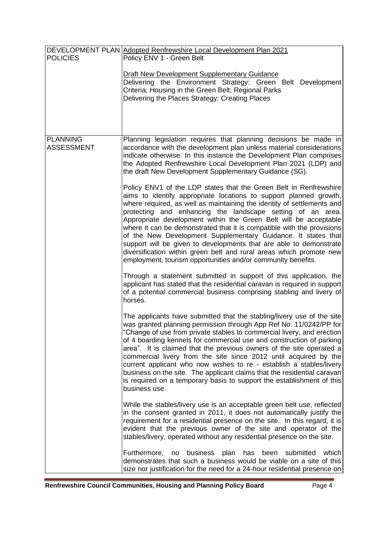| <b>POLICIES</b>                      | DEVELOPMENT PLAN Adopted Renfrewshire Local Development Plan 2021<br>Policy ENV 1 - Green Belt                                                                                                                                                                                                                                                                                                                                                                                                                                                                                                                                                                                                             |
|--------------------------------------|------------------------------------------------------------------------------------------------------------------------------------------------------------------------------------------------------------------------------------------------------------------------------------------------------------------------------------------------------------------------------------------------------------------------------------------------------------------------------------------------------------------------------------------------------------------------------------------------------------------------------------------------------------------------------------------------------------|
|                                      | <b>Draft New Development Supplementary Guidance</b><br>Delivering the Environment Strategy: Green Belt Development<br>Criteria; Housing in the Green Belt; Regional Parks<br>Delivering the Places Strategy: Creating Places                                                                                                                                                                                                                                                                                                                                                                                                                                                                               |
| <b>PLANNING</b><br><b>ASSESSMENT</b> | Planning legislation requires that planning decisions be made in<br>accordance with the development plan unless material considerations<br>indicate otherwise. In this instance the Development Plan comprises<br>the Adopted Renfrewshire Local Development Plan 2021 (LDP) and<br>the draft New Development Supplementary Guidance (SG).                                                                                                                                                                                                                                                                                                                                                                 |
|                                      | Policy ENV1 of the LDP states that the Green Belt in Renfrewshire<br>aims to identify appropriate locations to support planned growth,<br>where required, as well as maintaining the identity of settlements and<br>protecting and enhancing the landscape setting of an area.<br>Appropriate development within the Green Belt will be acceptable<br>where it can be demonstrated that it is compatible with the provisions<br>of the New Development Supplementary Guidance. It states that<br>support will be given to developments that are able to demonstrate<br>diversification within green belt and rural areas which promote new<br>employment, tourism opportunities and/or community benefits. |
|                                      | Through a statement submitted in support of this application, the<br>applicant has stated that the residential caravan is required in support<br>of a potential commercial business comprising stabling and livery of<br>horses.                                                                                                                                                                                                                                                                                                                                                                                                                                                                           |
|                                      | The applicants have submitted that the stabling/livery use of the site<br>was granted planning permission through App Ref No: 11/0242/PP for<br>'Change of use from private stables to commercial livery, and erection<br>of 4 boarding kennels for commercial use and construction of parking<br>area". It is claimed that the previous owners of the site operated a<br>commercial livery from the site since 2012 until acquired by the<br>current applicant who now wishes to re - establish a stables/livery<br>business on the site. The applicant claims that the residential caravan<br>is required on a temporary basis to support the establishment of this<br>business use.                     |
|                                      | While the stables/livery use is an acceptable green belt use, reflected<br>in the consent granted in 2011, it does not automatically justify the<br>requirement for a residential presence on the site. In this regard, it is<br>evident that the previous owner of the site and operator of the<br>stables/livery, operated without any residential presence on the site.                                                                                                                                                                                                                                                                                                                                 |
|                                      | Furthermore,<br>business plan<br>submitted which<br>no<br>has<br>been<br>demonstrates that such a business would be viable on a site of this<br>size nor justification for the need for a 24-hour residential presence on                                                                                                                                                                                                                                                                                                                                                                                                                                                                                  |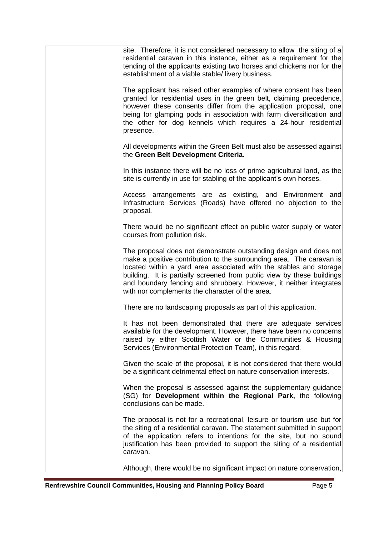| site. Therefore, it is not considered necessary to allow the siting of a<br>residential caravan in this instance, either as a requirement for the<br>tending of the applicants existing two horses and chickens nor for the<br>establishment of a viable stable/ livery business.                                                                                                                                  |
|--------------------------------------------------------------------------------------------------------------------------------------------------------------------------------------------------------------------------------------------------------------------------------------------------------------------------------------------------------------------------------------------------------------------|
| The applicant has raised other examples of where consent has been<br>granted for residential uses in the green belt, claiming precedence,<br>however these consents differ from the application proposal, one<br>being for glamping pods in association with farm diversification and<br>the other for dog kennels which requires a 24-hour residential<br>presence.                                               |
| All developments within the Green Belt must also be assessed against<br>the Green Belt Development Criteria.                                                                                                                                                                                                                                                                                                       |
| In this instance there will be no loss of prime agricultural land, as the<br>site is currently in use for stabling of the applicant's own horses.                                                                                                                                                                                                                                                                  |
| Access arrangements are as existing, and Environment and<br>Infrastructure Services (Roads) have offered no objection to the<br>proposal.                                                                                                                                                                                                                                                                          |
| There would be no significant effect on public water supply or water<br>courses from pollution risk.                                                                                                                                                                                                                                                                                                               |
| The proposal does not demonstrate outstanding design and does not<br>make a positive contribution to the surrounding area. The caravan is<br>located within a yard area associated with the stables and storage<br>building. It is partially screened from public view by these buildings<br>and boundary fencing and shrubbery. However, it neither integrates<br>with nor complements the character of the area. |
| There are no landscaping proposals as part of this application.                                                                                                                                                                                                                                                                                                                                                    |
| It has not been demonstrated that there are adequate services<br>available for the development. However, there have been no concerns<br>raised by either Scottish Water or the Communities & Housing<br>Services (Environmental Protection Team), in this regard.                                                                                                                                                  |
| Given the scale of the proposal, it is not considered that there would<br>be a significant detrimental effect on nature conservation interests.                                                                                                                                                                                                                                                                    |
| When the proposal is assessed against the supplementary guidance<br>(SG) for Development within the Regional Park, the following<br>conclusions can be made.                                                                                                                                                                                                                                                       |
| The proposal is not for a recreational, leisure or tourism use but for<br>the siting of a residential caravan. The statement submitted in support<br>of the application refers to intentions for the site, but no sound<br>justification has been provided to support the siting of a residential<br>caravan.                                                                                                      |
| Although, there would be no significant impact on nature conservation,                                                                                                                                                                                                                                                                                                                                             |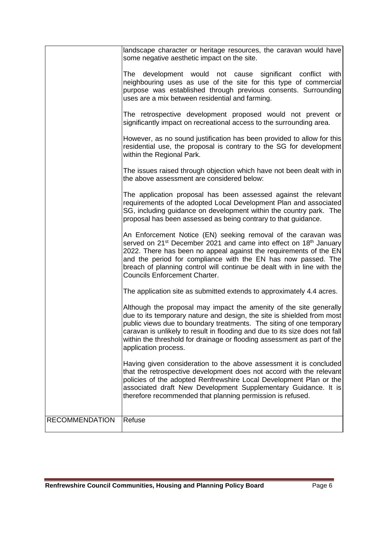|                       | landscape character or heritage resources, the caravan would have<br>some negative aesthetic impact on the site.                                                                                                                                                                                                                                                                                                    |
|-----------------------|---------------------------------------------------------------------------------------------------------------------------------------------------------------------------------------------------------------------------------------------------------------------------------------------------------------------------------------------------------------------------------------------------------------------|
|                       | The development would not cause significant conflict<br>with<br>neighbouring uses as use of the site for this type of commercial<br>purpose was established through previous consents. Surrounding<br>uses are a mix between residential and farming.                                                                                                                                                               |
|                       | The retrospective development proposed would not prevent or<br>significantly impact on recreational access to the surrounding area.                                                                                                                                                                                                                                                                                 |
|                       | However, as no sound justification has been provided to allow for this<br>residential use, the proposal is contrary to the SG for development<br>within the Regional Park.                                                                                                                                                                                                                                          |
|                       | The issues raised through objection which have not been dealt with in<br>the above assessment are considered below:                                                                                                                                                                                                                                                                                                 |
|                       | The application proposal has been assessed against the relevant<br>requirements of the adopted Local Development Plan and associated<br>SG, including guidance on development within the country park. The<br>proposal has been assessed as being contrary to that guidance.                                                                                                                                        |
|                       | An Enforcement Notice (EN) seeking removal of the caravan was<br>served on 21 <sup>st</sup> December 2021 and came into effect on 18 <sup>th</sup> January<br>2022. There has been no appeal against the requirements of the EN<br>and the period for compliance with the EN has now passed. The<br>breach of planning control will continue be dealt with in line with the<br><b>Councils Enforcement Charter.</b> |
|                       | The application site as submitted extends to approximately 4.4 acres.                                                                                                                                                                                                                                                                                                                                               |
|                       | Although the proposal may impact the amenity of the site generally<br>due to its temporary nature and design, the site is shielded from most<br>public views due to boundary treatments. The siting of one temporary<br>caravan is unlikely to result in flooding and due to its size does not fall<br>within the threshold for drainage or flooding assessment as part of the<br>application process.              |
|                       | Having given consideration to the above assessment it is concluded<br>that the retrospective development does not accord with the relevant<br>policies of the adopted Renfrewshire Local Development Plan or the<br>associated draft New Development Supplementary Guidance. It is<br>therefore recommended that planning permission is refused.                                                                    |
| <b>RECOMMENDATION</b> | Refuse                                                                                                                                                                                                                                                                                                                                                                                                              |